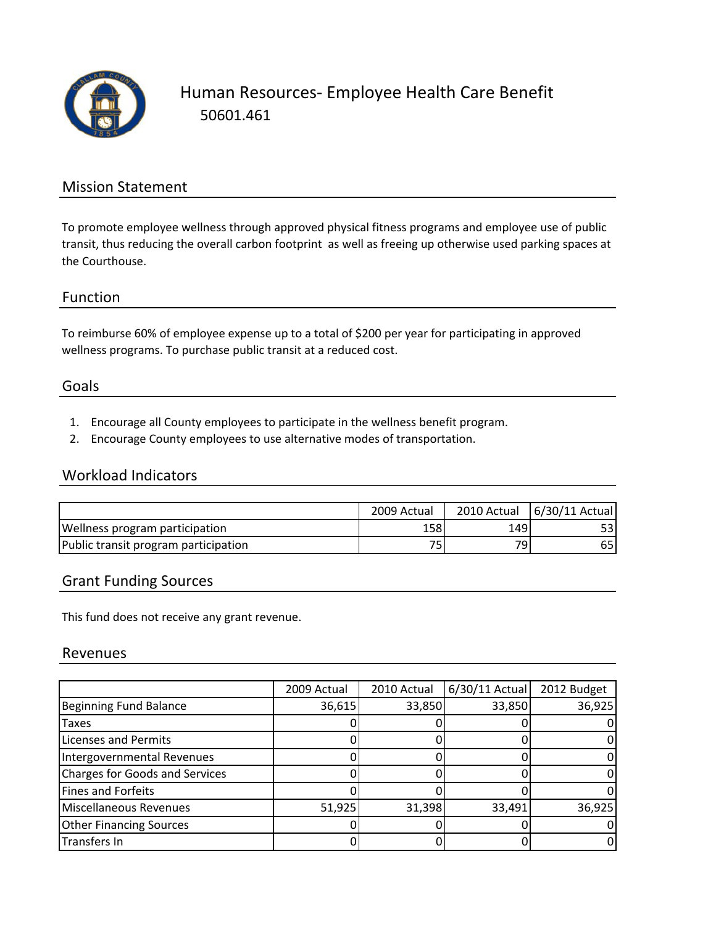

Human Resources‐ Employee Health Care Benefit 50601.461

### Mission Statement

To promote employee wellness through approved physical fitness programs and employee use of public transit, thus reducing the overall carbon footprint as well as freeing up otherwise used parking spaces at the Courthouse.

#### Function

To reimburse 60% of employee expense up to a total of \$200 per year for participating in approved wellness programs. To purchase public transit at a reduced cost.

#### Goals

- 1. Encourage all County employees to participate in the wellness benefit program.
- 2. Encourage County employees to use alternative modes of transportation.

## Workload Indicators

|                                       | 2009 Actual | 2010 Actual | 6/30/11 Actual |
|---------------------------------------|-------------|-------------|----------------|
| <b>Wellness program participation</b> | 158l        | 149         |                |
| Public transit program participation  | 75          | 79          | 65.            |

### Grant Funding Sources

This fund does not receive any grant revenue.

#### Revenues

|                                | 2009 Actual | 2010 Actual | $6/30/11$ Actual | 2012 Budget |
|--------------------------------|-------------|-------------|------------------|-------------|
| Beginning Fund Balance         | 36,615      | 33,850      | 33,850           | 36,925      |
| <b>Taxes</b>                   |             |             |                  |             |
| <b>Licenses and Permits</b>    |             |             |                  |             |
| Intergovernmental Revenues     |             |             |                  |             |
| Charges for Goods and Services |             |             |                  |             |
| Fines and Forfeits             |             |             |                  |             |
| Miscellaneous Revenues         | 51,925      | 31,398      | 33,491           | 36,925      |
| <b>Other Financing Sources</b> |             |             |                  |             |
| Transfers In                   |             |             |                  |             |